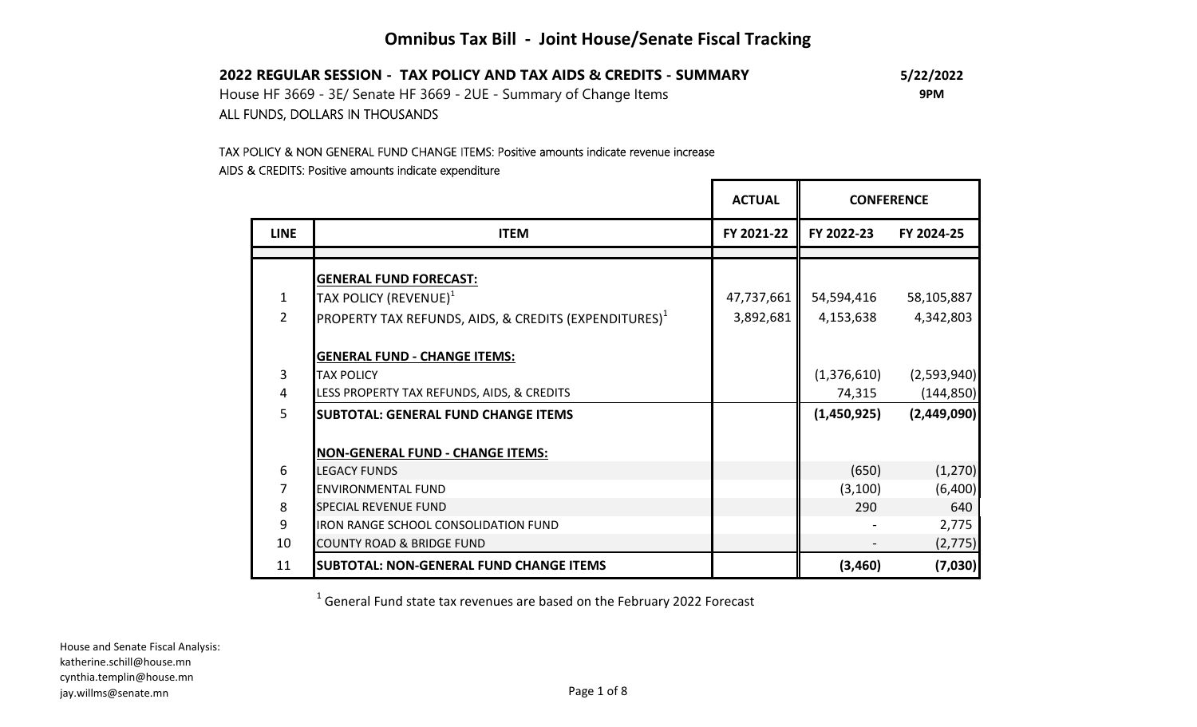## **Omnibus Tax Bill - Joint House/Senate Fiscal Tracking**

| 2022 REGULAR SESSION - TAX POLICY AND TAX AIDS & CREDITS - SUMMARY | 5/22/2022 |
|--------------------------------------------------------------------|-----------|
| House HF 3669 - 3E/ Senate HF 3669 - 2UE - Summary of Change Items | 9PM       |
| ALL FUNDS, DOLLARS IN THOUSANDS                                    |           |

# TAX POLICY & NON GENERAL FUND CHANGE ITEMS: Positive amounts indicate revenue increase

## AIDS & CREDITS: Positive amounts indicate expenditure

|                |                                                           | <b>ACTUAL</b> | <b>CONFERENCE</b> |             |  |
|----------------|-----------------------------------------------------------|---------------|-------------------|-------------|--|
| <b>LINE</b>    | <b>ITEM</b>                                               | FY 2021-22    | FY 2022-23        | FY 2024-25  |  |
|                |                                                           |               |                   |             |  |
|                | <b>GENERAL FUND FORECAST:</b>                             |               |                   |             |  |
| $\mathbf{1}$   | TAX POLICY (REVENUE) $^1$                                 | 47,737,661    | 54,594,416        | 58,105,887  |  |
| $\overline{2}$ | PROPERTY TAX REFUNDS, AIDS, & CREDITS (EXPENDITURES) $^1$ | 3,892,681     | 4,153,638         | 4,342,803   |  |
|                |                                                           |               |                   |             |  |
|                | <b>GENERAL FUND - CHANGE ITEMS:</b>                       |               |                   |             |  |
| $\overline{3}$ | <b>TAX POLICY</b>                                         |               | (1,376,610)       | (2,593,940) |  |
| $\overline{4}$ | LESS PROPERTY TAX REFUNDS, AIDS, & CREDITS                |               | 74,315            | (144, 850)  |  |
| 5              | <b>SUBTOTAL: GENERAL FUND CHANGE ITEMS</b>                |               | (1,450,925)       | (2,449,090) |  |
|                |                                                           |               |                   |             |  |
|                | <b>NON-GENERAL FUND - CHANGE ITEMS:</b>                   |               |                   |             |  |
| 6              | <b>LEGACY FUNDS</b>                                       |               | (650)             | (1, 270)    |  |
| 7              | <b>ENVIRONMENTAL FUND</b>                                 |               | (3, 100)          | (6,400)     |  |
| 8              | <b>SPECIAL REVENUE FUND</b>                               |               | 290               | 640         |  |
| 9              | <b>IRON RANGE SCHOOL CONSOLIDATION FUND</b>               |               |                   | 2,775       |  |
| 10             | <b>COUNTY ROAD &amp; BRIDGE FUND</b>                      |               |                   | (2, 775)    |  |
| 11             | <b>SUBTOTAL: NON-GENERAL FUND CHANGE ITEMS</b>            |               | (3, 460)          | (7,030)     |  |

Г

 $^1$  General Fund state tax revenues are based on the February 2022 Forecast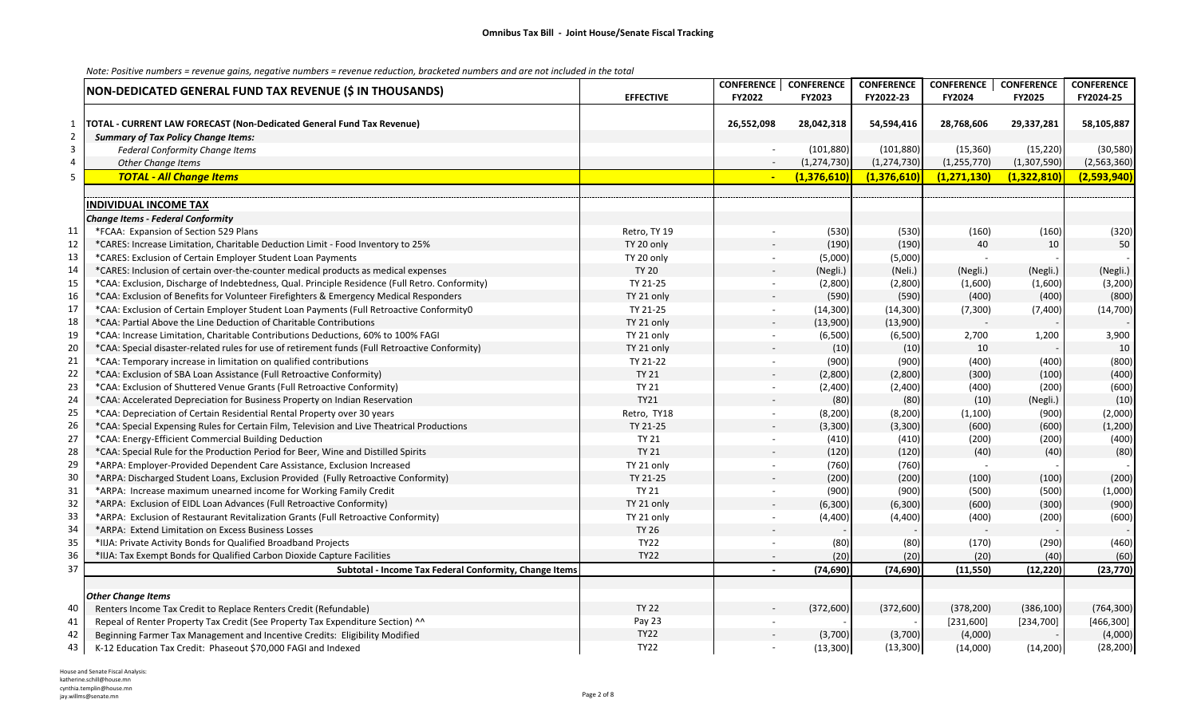|                |                                                                                                |                  | <b>CONFERENCE</b>        | <b>CONFERENCE</b> | <b>CONFERENCE</b> | <b>CONFERENCE</b> | <b>CONFERENCE</b> | <b>CONFERENCE</b> |
|----------------|------------------------------------------------------------------------------------------------|------------------|--------------------------|-------------------|-------------------|-------------------|-------------------|-------------------|
|                | NON-DEDICATED GENERAL FUND TAX REVENUE (\$ IN THOUSANDS)                                       | <b>EFFECTIVE</b> | FY2022                   | FY2023            | FY2022-23         | FY2024            | <b>FY2025</b>     | FY2024-25         |
|                |                                                                                                |                  |                          |                   |                   |                   |                   |                   |
| 1              | TOTAL - CURRENT LAW FORECAST (Non-Dedicated General Fund Tax Revenue)                          |                  | 26,552,098               | 28,042,318        | 54,594,416        | 28,768,606        | 29,337,281        | 58,105,887        |
| $\overline{2}$ | <b>Summary of Tax Policy Change Items:</b>                                                     |                  |                          |                   |                   |                   |                   |                   |
| $\mathbf{3}$   | Federal Conformity Change Items                                                                |                  |                          | (101, 880)        | (101, 880)        | (15, 360)         | (15, 220)         | (30, 580)         |
| $\overline{4}$ | Other Change Items                                                                             |                  | $\sim$                   | (1, 274, 730)     | (1, 274, 730)     | (1, 255, 770)     | (1,307,590)       | (2,563,360)       |
| 5              | <b>TOTAL - All Change Items</b>                                                                |                  |                          | (1,376,610)       | (1,376,610)       | (1, 271, 130)     | (1,322,810)       | (2,593,940)       |
|                |                                                                                                |                  |                          |                   |                   |                   |                   |                   |
|                | <b>INDIVIDUAL INCOME TAX</b>                                                                   |                  |                          |                   |                   |                   |                   |                   |
|                | <b>Change Items - Federal Conformity</b>                                                       |                  |                          |                   |                   |                   |                   |                   |
| 11             | *FCAA: Expansion of Section 529 Plans                                                          | Retro, TY 19     |                          | (530)             | (530)             | (160)             | (160)             | (320)             |
| 12             | *CARES: Increase Limitation, Charitable Deduction Limit - Food Inventory to 25%                | TY 20 only       |                          | (190)             | (190)             | 40                | 10                | 50                |
| 13             | *CARES: Exclusion of Certain Employer Student Loan Payments                                    | TY 20 only       | $\overline{\phantom{a}}$ | (5,000)           | (5,000)           |                   |                   |                   |
| 14             | *CARES: Inclusion of certain over-the-counter medical products as medical expenses             | <b>TY 20</b>     |                          | (Negli.)          | (Neli.)           | (Negli.)          | (Negli.)          | (Negli.)          |
| 15             | *CAA: Exclusion, Discharge of Indebtedness, Qual. Principle Residence (Full Retro. Conformity) | TY 21-25         | $\overline{\phantom{a}}$ | (2,800)           | (2,800)           | (1,600)           | (1,600)           | (3, 200)          |
| 16             | *CAA: Exclusion of Benefits for Volunteer Firefighters & Emergency Medical Responders          | TY 21 only       |                          | (590)             | (590)             | (400)             | (400)             | (800)             |
| 17             | *CAA: Exclusion of Certain Employer Student Loan Payments (Full Retroactive ConformityO        | TY 21-25         | $\mathbf{r}$             | (14, 300)         | (14, 300)         | (7, 300)          | (7,400)           | (14, 700)         |
| 18             | *CAA: Partial Above the Line Deduction of Charitable Contributions                             | TY 21 only       |                          | (13,900)          | (13,900)          |                   |                   |                   |
| 19             | *CAA: Increase Limitation, Charitable Contributions Deductions, 60% to 100% FAGI               | TY 21 only       | $\blacksquare$           | (6,500)           | (6,500)           | 2,700             | 1,200             | 3,900             |
| 20             | *CAA: Special disaster-related rules for use of retirement funds (Full Retroactive Conformity) | TY 21 only       |                          | (10)              | (10)              | 10                |                   | 10                |
| 21             | *CAA: Temporary increase in limitation on qualified contributions                              | TY 21-22         | $\blacksquare$           | (900)             | (900)             | (400)             | (400)             | (800)             |
| 22             | *CAA: Exclusion of SBA Loan Assistance (Full Retroactive Conformity)                           | <b>TY 21</b>     |                          | (2,800)           | (2,800)           | (300)             | (100)             | (400)             |
| 23             | *CAA: Exclusion of Shuttered Venue Grants (Full Retroactive Conformity)                        | <b>TY 21</b>     | $\sim$                   | (2,400)           | (2,400)           | (400)             | (200)             | (600)             |
| 24             | *CAA: Accelerated Depreciation for Business Property on Indian Reservation                     | <b>TY21</b>      |                          | (80)              | (80)              | (10)              | (Negli.)          | (10)              |
| 25             | *CAA: Depreciation of Certain Residential Rental Property over 30 years                        | Retro, TY18      | $\overline{\phantom{a}}$ | (8, 200)          | (8, 200)          | (1, 100)          | (900)             | (2,000)           |
| 26             | *CAA: Special Expensing Rules for Certain Film, Television and Live Theatrical Productions     | TY 21-25         |                          | (3,300)           | (3,300)           | (600)             | (600)             | (1, 200)          |
| 27             | *CAA: Energy-Efficient Commercial Building Deduction                                           | <b>TY 21</b>     |                          | (410)             | (410)             | (200)             | (200)             | (400)             |
| 28             | *CAA: Special Rule for the Production Period for Beer, Wine and Distilled Spirits              | <b>TY 21</b>     |                          | (120)             | (120)             | (40)              | (40)              | (80)              |
| 29             | *ARPA: Employer-Provided Dependent Care Assistance, Exclusion Increased                        | TY 21 only       | $\mathbf{r}$             | (760)             | (760)             |                   |                   |                   |
| 30             | *ARPA: Discharged Student Loans, Exclusion Provided (Fully Retroactive Conformity)             | TY 21-25         |                          | (200)             | (200)             | (100)             | (100)             | (200)             |
| 31             | *ARPA: Increase maximum unearned income for Working Family Credit                              | <b>TY 21</b>     | $\overline{\phantom{a}}$ | (900)             | (900)             | (500)             | (500)             | (1,000)           |
| 32             | *ARPA: Exclusion of EIDL Loan Advances (Full Retroactive Conformity)                           | TY 21 only       |                          | (6,300)           | (6, 300)          | (600)             | (300)             | (900)             |
| 33             | *ARPA: Exclusion of Restaurant Revitalization Grants (Full Retroactive Conformity)             | TY 21 only       |                          | (4,400)           | (4, 400)          | (400)             | (200)             | (600)             |
| 34             | *ARPA: Extend Limitation on Excess Business Losses                                             | <b>TY 26</b>     |                          |                   |                   |                   |                   |                   |
| 35             | *IIJA: Private Activity Bonds for Qualified Broadband Projects                                 | <b>TY22</b>      | $\sim$                   | (80)              | (80)              | (170)             | (290)             | (460)             |
| 36             | *IIJA: Tax Exempt Bonds for Qualified Carbon Dioxide Capture Facilities                        | <b>TY22</b>      | $\blacksquare$           | (20)              | (20)              | (20)              | (40)              | (60)              |
| 37             | Subtotal - Income Tax Federal Conformity, Change Items                                         |                  | $\blacksquare$           | (74, 690)         | (74, 690)         | (11, 550)         | (12, 220)         | (23, 770)         |
|                |                                                                                                |                  |                          |                   |                   |                   |                   |                   |
|                | <b>Other Change Items</b>                                                                      |                  |                          |                   |                   |                   |                   |                   |
| 40             | Renters Income Tax Credit to Replace Renters Credit (Refundable)                               | <b>TY 22</b>     |                          | (372, 600)        | (372, 600)        | (378, 200)        | (386, 100)        | (764, 300)        |
| 41             | Repeal of Renter Property Tax Credit (See Property Tax Expenditure Section) ^^                 | Pay 23           |                          |                   |                   | [231,600]         | [234,700]         | [466,300]         |
| 42             | Beginning Farmer Tax Management and Incentive Credits: Eligibility Modified                    | <b>TY22</b>      |                          | (3,700)           | (3,700)           | (4,000)           |                   | (4,000)           |
| 43             | K-12 Education Tax Credit: Phaseout \$70,000 FAGI and Indexed                                  | <b>TY22</b>      |                          | (13,300)          | (13,300)          | (14,000)          | (14,200)          | (28, 200)         |

House and Senate Fiscal Analysis: katherine.schill@house.mn cynthia.templin@house.mn jay.willms@senate.mn Page 2 of 8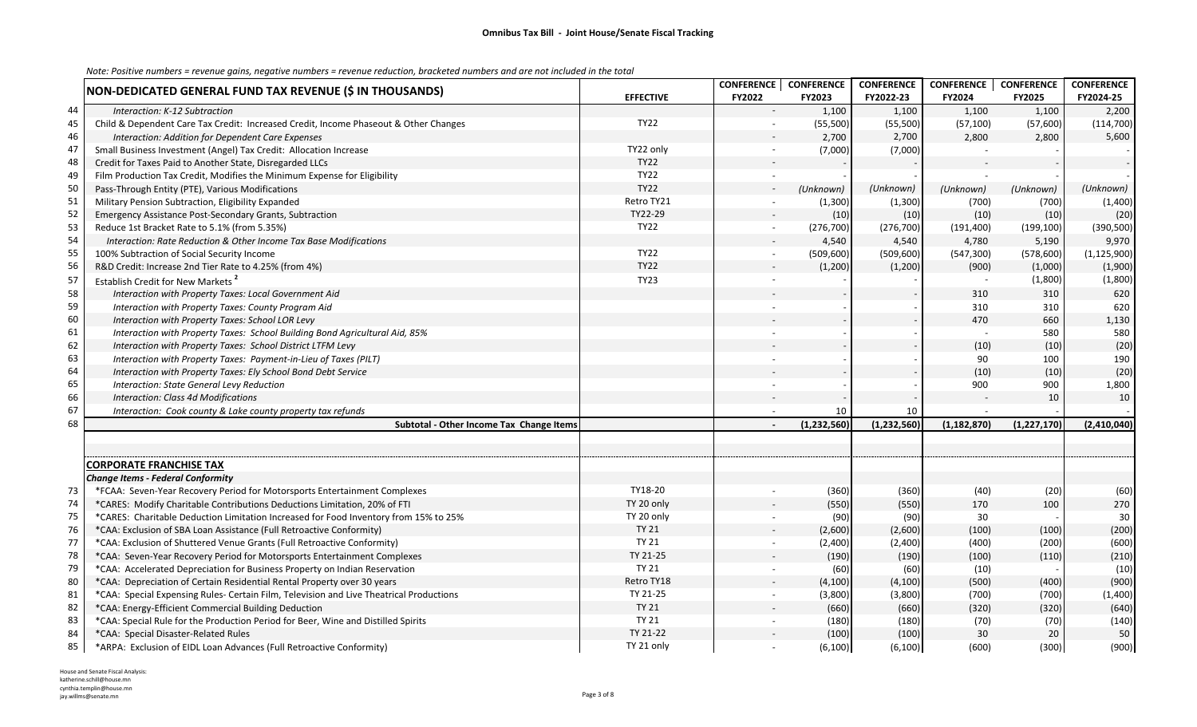|    | NON-DEDICATED GENERAL FUND TAX REVENUE (\$ IN THOUSANDS)                                |                  | CONFERENCE   CONFERENCE  |               | <b>CONFERENCE</b> | CONFERENCE    | <b>CONFERENCE</b> | <b>CONFERENCE</b> |
|----|-----------------------------------------------------------------------------------------|------------------|--------------------------|---------------|-------------------|---------------|-------------------|-------------------|
|    |                                                                                         | <b>EFFECTIVE</b> | FY2022                   | FY2023        | FY2022-23         | FY2024        | FY2025            | FY2024-25         |
| 44 | Interaction: K-12 Subtraction                                                           |                  |                          | 1,100         | 1,100             | 1,100         | 1,100             | 2,200             |
| 45 | Child & Dependent Care Tax Credit: Increased Credit, Income Phaseout & Other Changes    | <b>TY22</b>      | $\blacksquare$           | (55, 500)     | (55,500)          | (57, 100)     | (57,600)          | (114, 700)        |
| 46 | Interaction: Addition for Dependent Care Expenses                                       |                  |                          | 2,700         | 2,700             | 2,800         | 2,800             | 5,600             |
| 47 | Small Business Investment (Angel) Tax Credit: Allocation Increase                       | TY22 only        | $\overline{\phantom{a}}$ | (7,000)       | (7,000)           |               |                   |                   |
| 48 | Credit for Taxes Paid to Another State, Disregarded LLCs                                | <b>TY22</b>      |                          |               |                   |               |                   |                   |
| 49 | Film Production Tax Credit, Modifies the Minimum Expense for Eligibility                | <b>TY22</b>      |                          |               |                   |               |                   |                   |
| 50 | Pass-Through Entity (PTE), Various Modifications                                        | <b>TY22</b>      | $\sim$                   | (Unknown)     | (Unknown)         | (Unknown)     | (Unknown)         | (Unknown)         |
| 51 | Military Pension Subtraction, Eligibility Expanded                                      | Retro TY21       |                          | (1,300)       | (1,300)           | (700)         | (700)             | (1,400)           |
| 52 | Emergency Assistance Post-Secondary Grants, Subtraction                                 | TY22-29          |                          | (10)          | (10)              | (10)          | (10)              | (20)              |
| 53 | Reduce 1st Bracket Rate to 5.1% (from 5.35%)                                            | <b>TY22</b>      | $\sim$                   | (276, 700)    | (276, 700)        | (191, 400)    | (199, 100)        | (390, 500)        |
| 54 | Interaction: Rate Reduction & Other Income Tax Base Modifications                       |                  |                          | 4,540         | 4,540             | 4,780         | 5,190             | 9,970             |
| 55 | 100% Subtraction of Social Security Income                                              | <b>TY22</b>      | $\sim$                   | (509, 600)    | (509, 600)        | (547, 300)    | (578, 600)        | (1, 125, 900)     |
| 56 | R&D Credit: Increase 2nd Tier Rate to 4.25% (from 4%)                                   | <b>TY22</b>      |                          | (1,200)       | (1,200)           | (900)         | (1,000)           | (1,900)           |
| 57 | Establish Credit for New Markets <sup>2</sup>                                           | <b>TY23</b>      |                          |               |                   |               | (1,800)           | (1,800)           |
| 58 | Interaction with Property Taxes: Local Government Aid                                   |                  |                          |               |                   | 310           | 310               | 620               |
| 59 | Interaction with Property Taxes: County Program Aid                                     |                  |                          |               |                   | 310           | 310               | 620               |
| 60 | Interaction with Property Taxes: School LOR Levy                                        |                  |                          |               |                   | 470           | 660               | 1,130             |
| 61 | Interaction with Property Taxes: School Building Bond Agricultural Aid, 85%             |                  |                          |               |                   |               | 580               | 580               |
| 62 | Interaction with Property Taxes: School District LTFM Levy                              |                  |                          |               |                   | (10)          | (10)              | (20)              |
| 63 | Interaction with Property Taxes: Payment-in-Lieu of Taxes (PILT)                        |                  | $\overline{a}$           |               |                   | 90            | 100               | 190               |
| 64 | Interaction with Property Taxes: Ely School Bond Debt Service                           |                  |                          |               |                   | (10)          | (10)              | (20)              |
| 65 | Interaction: State General Levy Reduction                                               |                  |                          |               |                   | 900           | 900               | 1,800             |
| 66 | <b>Interaction: Class 4d Modifications</b>                                              |                  |                          |               |                   |               | 10                | 10                |
| 67 | Interaction: Cook county & Lake county property tax refunds                             |                  | $\overline{a}$           | 10            | 10                |               |                   |                   |
| 68 | Subtotal - Other Income Tax Change Items                                                |                  |                          | (1, 232, 560) | (1, 232, 560)     | (1, 182, 870) | (1, 227, 170)     | (2,410,040)       |
|    |                                                                                         |                  |                          |               |                   |               |                   |                   |
|    |                                                                                         |                  |                          |               |                   |               |                   |                   |
|    | <b>CORPORATE FRANCHISE TAX</b>                                                          |                  |                          |               |                   |               |                   |                   |
|    | <b>Change Items - Federal Conformity</b>                                                |                  |                          |               |                   |               |                   |                   |
| 73 | *FCAA: Seven-Year Recovery Period for Motorsports Entertainment Complexes               | TY18-20          |                          | (360)         | (360)             | (40)          | (20)              | (60)              |
| 74 | *CARES: Modify Charitable Contributions Deductions Limitation, 20% of FTI               | TY 20 only       |                          | (550)         | (550)             | 170           | 100               | 270               |
| 75 | *CARES: Charitable Deduction Limitation Increased for Food Inventory from 15% to 25%    | TY 20 only       | $\sim$                   | (90)          | (90)              | 30            |                   | 30                |
| 76 | *CAA: Exclusion of SBA Loan Assistance (Full Retroactive Conformity)                    | <b>TY 21</b>     |                          | (2,600)       | (2,600)           | (100)         | (100)             | (200)             |
| 77 | *CAA: Exclusion of Shuttered Venue Grants (Full Retroactive Conformity)                 | <b>TY 21</b>     | $\overline{\phantom{a}}$ | (2,400)       | (2,400)           | (400)         | (200)             | (600)             |
| 78 | *CAA: Seven-Year Recovery Period for Motorsports Entertainment Complexes                | TY 21-25         |                          | (190)         | (190)             | (100)         | (110)             | (210)             |
| 79 | *CAA: Accelerated Depreciation for Business Property on Indian Reservation              | <b>TY 21</b>     |                          | (60)          | (60)              | (10)          |                   | (10)              |
| 80 | *CAA: Depreciation of Certain Residential Rental Property over 30 years                 | Retro TY18       |                          | (4, 100)      | (4, 100)          | (500)         | (400)             | (900)             |
| 81 | *CAA: Special Expensing Rules- Certain Film, Television and Live Theatrical Productions | TY 21-25         | $\sim$                   | (3,800)       | (3,800)           | (700)         | (700)             | (1,400)           |
| 82 | *CAA: Energy-Efficient Commercial Building Deduction                                    | <b>TY 21</b>     |                          | (660)         | (660)             | (320)         | (320)             | (640)             |
| 83 | *CAA: Special Rule for the Production Period for Beer, Wine and Distilled Spirits       | <b>TY 21</b>     | $\sim$                   | (180)         | (180)             | (70)          | (70)              | (140)             |
| 84 | *CAA: Special Disaster-Related Rules                                                    | TY 21-22         |                          | (100)         | (100)             | 30            | 20                | 50                |
| 85 | *ARPA: Exclusion of EIDL Loan Advances (Full Retroactive Conformity)                    | TY 21 only       |                          | (6, 100)      | (6, 100)          | (600)         | (300)             | (900)             |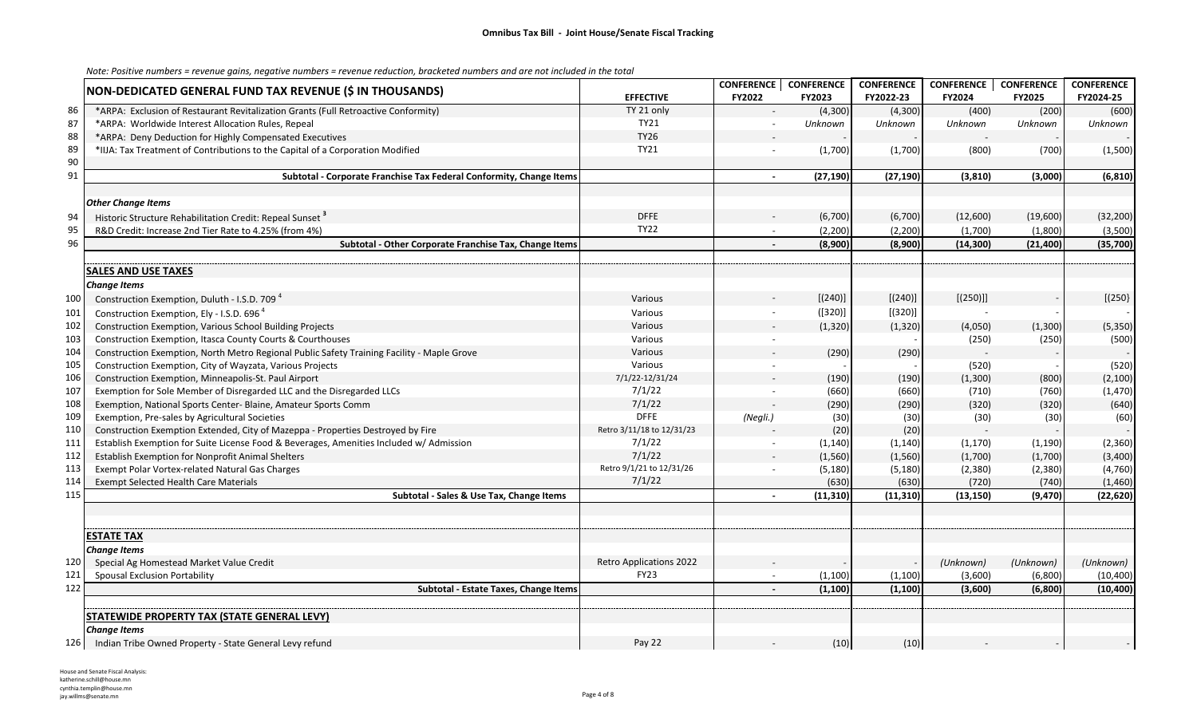|     |                                                                                            |                                | <b>CONFERENCE</b>        | <b>CONFERENCE</b> | <b>CONFERENCE</b> | <b>CONFERENCE</b> | <b>CONFERENCE</b> | <b>CONFERENCE</b> |
|-----|--------------------------------------------------------------------------------------------|--------------------------------|--------------------------|-------------------|-------------------|-------------------|-------------------|-------------------|
|     | NON-DEDICATED GENERAL FUND TAX REVENUE (\$ IN THOUSANDS)                                   | <b>EFFECTIVE</b>               | FY2022                   | FY2023            | FY2022-23         | FY2024            | FY2025            | FY2024-25         |
| 86  | *ARPA: Exclusion of Restaurant Revitalization Grants (Full Retroactive Conformity)         | TY 21 only                     |                          | (4,300)           | (4, 300)          | (400)             | (200)             | (600)             |
| 87  | *ARPA: Worldwide Interest Allocation Rules, Repeal                                         | TY21                           | $\blacksquare$           | Unknown           | Unknown           | Unknown           | Unknown           | Unknown           |
| 88  | *ARPA: Deny Deduction for Highly Compensated Executives                                    | <b>TY26</b>                    |                          |                   |                   |                   |                   |                   |
| 89  | *IIJA: Tax Treatment of Contributions to the Capital of a Corporation Modified             | TY21                           | $\overline{a}$           | (1,700)           | (1,700)           | (800)             | (700)             | (1,500)           |
| 90  |                                                                                            |                                |                          |                   |                   |                   |                   |                   |
| 91  | Subtotal - Corporate Franchise Tax Federal Conformity, Change Items                        |                                | $\overline{\phantom{a}}$ | (27, 190)         | (27, 190)         | (3,810)           | (3,000)           | (6, 810)          |
|     |                                                                                            |                                |                          |                   |                   |                   |                   |                   |
|     | <b>Other Change Items</b>                                                                  |                                |                          |                   |                   |                   |                   |                   |
| 94  | Historic Structure Rehabilitation Credit: Repeal Sunset <sup>3</sup>                       | <b>DFFE</b>                    |                          | (6,700)           | (6,700)           | (12,600)          | (19,600)          | (32, 200)         |
| 95  | R&D Credit: Increase 2nd Tier Rate to 4.25% (from 4%)                                      | <b>TY22</b>                    | $\sim$                   | (2, 200)          | (2, 200)          | (1,700)           | (1,800)           | (3,500)           |
| 96  | Subtotal - Other Corporate Franchise Tax, Change Items                                     |                                |                          | (8,900)           | (8,900)           | (14, 300)         | (21, 400)         | (35, 700)         |
|     |                                                                                            |                                |                          |                   |                   |                   |                   |                   |
|     | <b>SALES AND USE TAXES</b>                                                                 |                                |                          |                   |                   |                   |                   |                   |
|     | <b>Change Items</b>                                                                        |                                |                          |                   |                   |                   |                   |                   |
| 100 | Construction Exemption, Duluth - I.S.D. 709 <sup>4</sup>                                   | Various                        |                          | [(240)]           | [(240)]           | [(250)]]          |                   | [(250]            |
| 101 | Construction Exemption, Ely - I.S.D. 696 <sup>4</sup>                                      | Various                        |                          | ([320)]           | [(320)]           |                   |                   |                   |
| 102 | Construction Exemption, Various School Building Projects                                   | Various                        |                          | (1, 320)          | (1, 320)          | (4,050)           | (1, 300)          | (5, 350)          |
| 103 | Construction Exemption, Itasca County Courts & Courthouses                                 | Various                        | $\overline{\phantom{a}}$ |                   |                   | (250)             | (250)             | (500)             |
| 104 | Construction Exemption, North Metro Regional Public Safety Training Facility - Maple Grove | Various                        |                          | (290)             | (290)             |                   |                   |                   |
| 105 | Construction Exemption, City of Wayzata, Various Projects                                  | Various                        |                          |                   |                   | (520)             |                   | (520)             |
| 106 | Construction Exemption, Minneapolis-St. Paul Airport                                       | 7/1/22-12/31/24                |                          | (190)             | (190)             | (1,300)           | (800)             | (2, 100)          |
| 107 | Exemption for Sole Member of Disregarded LLC and the Disregarded LLCs                      | 7/1/22                         | $\blacksquare$           | (660)             | (660)             | (710)             | (760)             | (1,470)           |
| 108 | Exemption, National Sports Center- Blaine, Amateur Sports Comm                             | 7/1/22                         |                          | (290)             | (290)             | (320)             | (320)             | (640)             |
| 109 | Exemption, Pre-sales by Agricultural Societies                                             | <b>DFFE</b>                    | (Negli.)                 | (30)              | (30)              | (30)              | (30)              | (60)              |
| 110 | Construction Exemption Extended, City of Mazeppa - Properties Destroyed by Fire            | Retro 3/11/18 to 12/31/23      |                          | (20)              | (20)              |                   |                   |                   |
| 111 | Establish Exemption for Suite License Food & Beverages, Amenities Included w/ Admission    | 7/1/22                         | $\overline{\phantom{a}}$ | (1, 140)          | (1, 140)          | (1, 170)          | (1, 190)          | (2, 360)          |
| 112 | Establish Exemption for Nonprofit Animal Shelters                                          | 7/1/22                         |                          | (1,560)           | (1,560)           | (1,700)           | (1,700)           | (3,400)           |
| 113 | Exempt Polar Vortex-related Natural Gas Charges                                            | Retro 9/1/21 to 12/31/26       | $\overline{\phantom{a}}$ | (5, 180)          | (5, 180)          | (2, 380)          | (2, 380)          | (4, 760)          |
| 114 | <b>Exempt Selected Health Care Materials</b>                                               | 7/1/22                         |                          | (630)             | (630)             | (720)             | (740)             | (1,460)           |
| 115 | Subtotal - Sales & Use Tax, Change Items                                                   |                                | $\sim$                   | (11, 310)         | (11, 310)         | (13, 150)         | (9, 470)          | (22, 620)         |
|     |                                                                                            |                                |                          |                   |                   |                   |                   |                   |
|     |                                                                                            |                                |                          |                   |                   |                   |                   |                   |
|     | <b>ESTATE TAX</b>                                                                          |                                |                          |                   |                   |                   |                   |                   |
|     | <b>Change Items</b>                                                                        |                                |                          |                   |                   |                   |                   |                   |
| 120 | Special Ag Homestead Market Value Credit                                                   | <b>Retro Applications 2022</b> |                          |                   |                   | (Unknown)         | (Unknown)         | (Unknown)         |
| 121 | <b>Spousal Exclusion Portability</b>                                                       | <b>FY23</b>                    | $\sim$                   | (1,100)           | (1, 100)          | (3,600)           | (6,800)           | (10, 400)         |
| 122 | Subtotal - Estate Taxes, Change Items                                                      |                                |                          | (1, 100)          | (1, 100)          | (3,600)           | (6, 800)          | (10, 400)         |
|     |                                                                                            |                                |                          |                   |                   |                   |                   |                   |
|     | <b>STATEWIDE PROPERTY TAX (STATE GENERAL LEVY)</b>                                         |                                |                          |                   |                   |                   |                   |                   |
| 126 | <b>Change Items</b><br>Indian Tribe Owned Property - State General Levy refund             | Pay 22                         |                          | (10)              | (10)              |                   |                   |                   |
|     |                                                                                            |                                |                          |                   |                   |                   |                   |                   |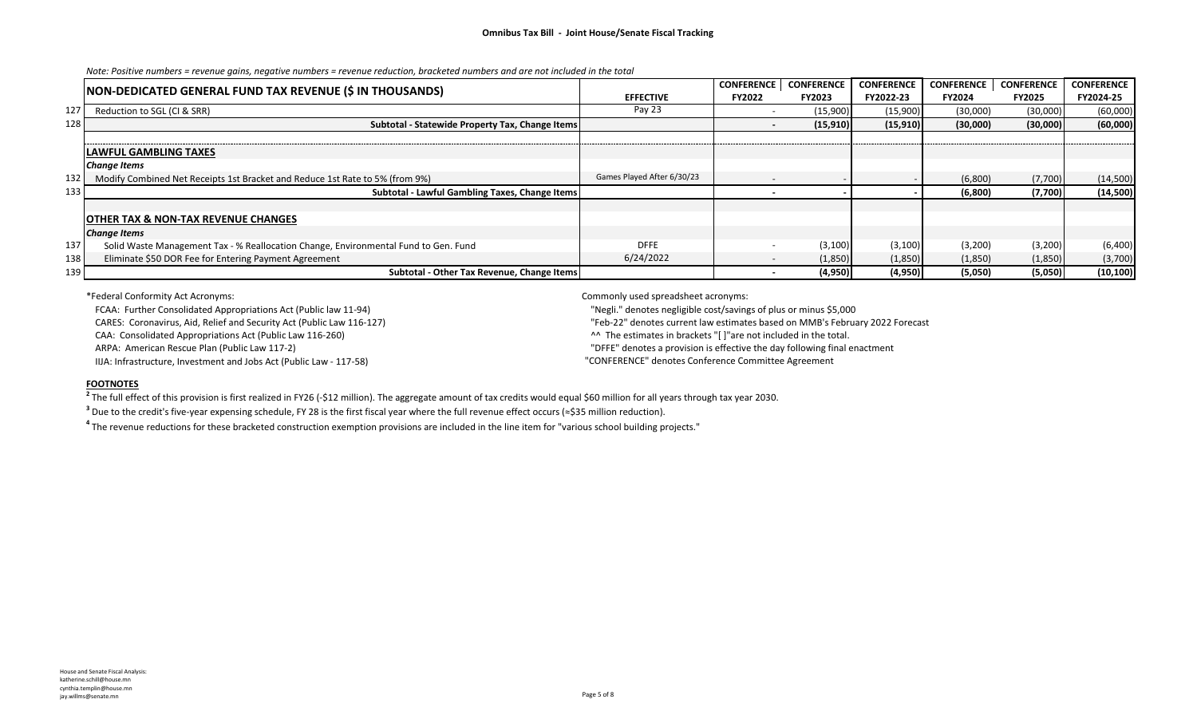|                  | NON-DEDICATED GENERAL FUND TAX REVENUE (\$ IN THOUSANDS)                            |                            | <b>CONFERENCE</b>        | <b>CONFERENCE</b> | <b>CONFERENCE</b> | <b>CONFERENCE</b> | <b>CONFERENCE</b> | <b>CONFERENCE</b> |
|------------------|-------------------------------------------------------------------------------------|----------------------------|--------------------------|-------------------|-------------------|-------------------|-------------------|-------------------|
|                  |                                                                                     | <b>EFFECTIVE</b>           | <b>FY2022</b>            | FY2023            | FY2022-23         | <b>FY2024</b>     | <b>FY2025</b>     | FY2024-25         |
| 127              | Reduction to SGL (CI & SRR)                                                         | Pay 23                     |                          | (15,900)          | (15,900)          | (30,000)          | (30,000)          | (60,000)          |
| 128 <sub>1</sub> | Subtotal - Statewide Property Tax, Change Items                                     |                            |                          | (15,910)          | (15,910)          | (30,000)          | (30,000)          | (60,000)          |
|                  |                                                                                     |                            |                          |                   |                   |                   |                   |                   |
|                  | <b>LAWFUL GAMBLING TAXES</b>                                                        |                            |                          |                   |                   |                   |                   |                   |
|                  | <b>Change Items</b>                                                                 |                            |                          |                   |                   |                   |                   |                   |
| 132              | Modify Combined Net Receipts 1st Bracket and Reduce 1st Rate to 5% (from 9%)        | Games Played After 6/30/23 | $\overline{\phantom{0}}$ |                   |                   | (6,800)           | (7,700)           | (14,500)          |
| 133              | Subtotal - Lawful Gambling Taxes, Change Items                                      |                            |                          |                   |                   | (6,800)           | (7,700)           | (14,500)          |
|                  |                                                                                     |                            |                          |                   |                   |                   |                   |                   |
|                  | <b>OTHER TAX &amp; NON-TAX REVENUE CHANGES</b>                                      |                            |                          |                   |                   |                   |                   |                   |
|                  | <b>Change Items</b>                                                                 |                            |                          |                   |                   |                   |                   |                   |
| 137              | Solid Waste Management Tax - % Reallocation Change, Environmental Fund to Gen. Fund | <b>DFFE</b>                | . .                      | (3,100)           | (3,100)           | (3,200)           | (3,200)           | (6,400)           |
| 138              | Eliminate \$50 DOR Fee for Entering Payment Agreement                               | 6/24/2022                  | $\sim$                   | (1,850)           | (1,850)           | (1,850)           | (1,850)           | (3,700)           |
| 139              | Subtotal - Other Tax Revenue, Change Items                                          |                            |                          | (4,950)           | (4,950)           | (5,050)           | (5,050)           | (10, 100)         |

\*Federal Conformity Act Acronyms: Commonly used spreadsheet acronyms:

FCAA: Further Consolidated Appropriations Act (Public law 11-94) "Negli." denotes negligible cost/savings of plus or minus \$5,000

CARES: Coronavirus, Aid, Relief and Security Act (Public Law 116-127) "Feb-22" denotes current law estimates based on MMB's February 2022 Forecast

CAA: Consolidated Appropriations Act (Public Law 116-260) *CAA: Consolidated Appropriations Act (Public Law 116-260***)** *CAA: Consolidates in brackets "[ ] "are not included in the total.* 

ARPA: American Rescue Plan (Public Law 117-2) "DFFE" denotes a provision is effective the day following final enactment

IIJA: Infrastructure, Investment and Jobs Act (Public Law - 117-58) "CONFERENCE" denotes Conference Committee Agreement

#### **FOOTNOTES**

<sup>2</sup> The full effect of this provision is first realized in FY26 (-\$12 million). The aggregate amount of tax credits would equal \$60 million for all years through tax year 2030.

<sup>3</sup> Due to the credit's five-year expensing schedule, FY 28 is the first fiscal year where the full revenue effect occurs (≈\$35 million reduction).

<sup>4</sup> The revenue reductions for these bracketed construction exemption provisions are included in the line item for "various school building projects."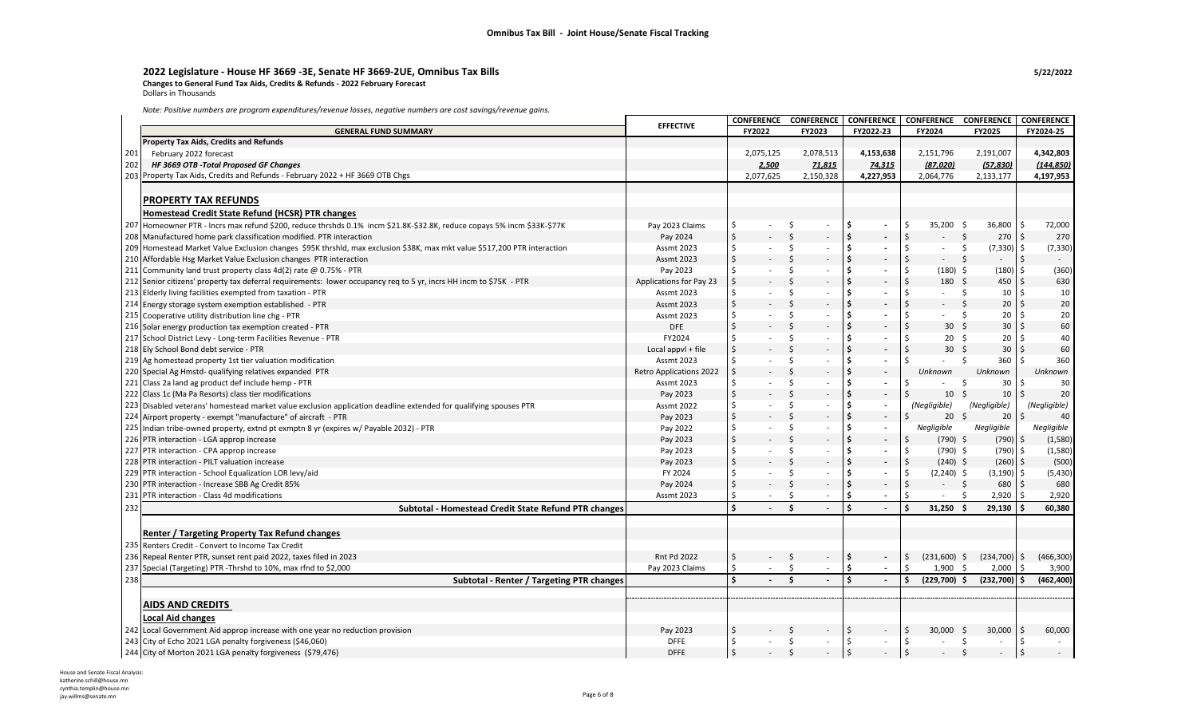### **2022 Legislature - House HF 3669 -3E, Senate HF 3669-2UE, Omnibus Tax Bills 5/22/2022 Changes to General Fund Tax Aids, Credits & Refunds - 2022 February Forecast**

Dollars in Thousands

 $\mathbf{r}$ 

*Note: Positive numbers are program expenditures/revenue losses, negative numbers are cost savings/revenue gains.*

|     |                                                                                                                          | <b>EFFECTIVE</b>               |                    | <b>CONFERENCE</b>        |                     | <b>CONFERENCE</b> |               | <b>CONFERENCE</b>        | CONFERENCE CONFERENCE                |                           |               | <b>CONFERENCE</b> |
|-----|--------------------------------------------------------------------------------------------------------------------------|--------------------------------|--------------------|--------------------------|---------------------|-------------------|---------------|--------------------------|--------------------------------------|---------------------------|---------------|-------------------|
|     | <b>GENERAL FUND SUMMARY</b>                                                                                              |                                |                    | FY2022                   |                     | FY2023            |               | FY2022-23                | FY2024                               | <b>FY2025</b>             |               | FY2024-25         |
|     | <b>Property Tax Aids, Credits and Refunds</b>                                                                            |                                |                    |                          |                     |                   |               |                          |                                      |                           |               |                   |
| 201 | February 2022 forecast                                                                                                   |                                |                    | 2,075,125                |                     | 2,078,513         |               | 4,153,638                | 2,151,796                            | 2,191,007                 |               | 4,342,803         |
| 202 | HF 3669 OTB - Total Proposed GF Changes                                                                                  |                                |                    | 2,500                    |                     | 71,815            |               | 74,315                   | (87,020)                             | (57, 830)                 |               | (144, 850)        |
|     | 203 Property Tax Aids, Credits and Refunds - February 2022 + HF 3669 OTB Chgs                                            |                                |                    | 2,077,625                |                     | 2,150,328         |               | 4,227,953                | 2,064,776                            | 2,133,177                 |               | 4,197,953         |
|     |                                                                                                                          |                                |                    |                          |                     |                   |               |                          |                                      |                           |               |                   |
|     | <b>PROPERTY TAX REFUNDS</b>                                                                                              |                                |                    |                          |                     |                   |               |                          |                                      |                           |               |                   |
|     | Homestead Credit State Refund (HCSR) PTR changes                                                                         |                                |                    |                          |                     |                   |               |                          |                                      |                           |               |                   |
| 207 | Homeowner PTR - Incrs max refund \$200, reduce thrshds 0.1% incm \$21.8K-\$32.8K, reduce copays 5% incm \$33K-\$77K      | Pay 2023 Claims                | \$                 | $\sim$ $-$               | -\$                 | $\sim$            | \$            | $\overline{\phantom{a}}$ | Ś<br>$35,200$ \$                     | 36,800                    | ∣\$           | 72,000            |
|     | 208 Manufactured home park classification modified. PTR interaction                                                      | Pay 2024                       | \$                 |                          | Ś                   | $\sim$            | \$            |                          | \$<br>$\ddot{\mathsf{s}}$            | $270 \pm 5$               |               | 270               |
|     | 209 Homestead Market Value Exclusion changes \$95K thrshld, max exclusion \$38K, max mkt value \$517,200 PTR interaction | <b>Assmt 2023</b>              | \$                 |                          | Ś                   | $\sim$            | \$            |                          | Ś<br>$\sim$                          | -\$<br>$(7,330)$ \$       |               | (7, 330)          |
|     | 210 Affordable Hsg Market Value Exclusion changes PTR interaction                                                        | <b>Assmt 2023</b>              | \$                 |                          | Ś                   | $\sim$            | \$            |                          | \$<br>$\sim$                         | $\zeta$                   | \$            | $\sim$            |
|     |                                                                                                                          |                                | \$                 |                          | Ŝ.                  | $\sim$            | \$            |                          | Ŝ.                                   |                           |               | (360)             |
| 211 | Community land trust property class 4d(2) rate @ 0.75% - PTR                                                             | Pay 2023                       | \$                 |                          | Ś                   |                   | \$            |                          | $(180)$ \$<br>\$<br>180 <sub>5</sub> | $(180)$ \$<br>450         | \$            |                   |
|     | 212 Senior citizens' property tax deferral requirements: lower occupancy req to 5 yr, incrs HH incm to \$75K - PTR       | Applications for Pay 23        |                    |                          |                     |                   | \$            |                          | $\sim$                               |                           |               | 630               |
| 213 | Elderly living facilities exempted from taxation - PTR                                                                   | <b>Assmt 2023</b>              | \$                 |                          | \$                  | $\sim$            | \$            | $\overline{\phantom{a}}$ | \$                                   | -\$<br>10<br>$\mathsf{S}$ | \$<br>Ś.      | 10                |
| 214 | Energy storage system exemption established - PTR                                                                        | <b>Assmt 2023</b>              | \$                 |                          | Ś                   |                   |               |                          | Ś                                    | 20                        |               | $20\,$            |
| 215 | Cooperative utility distribution line chg - PTR                                                                          | Assmt 2023                     | \$                 |                          | Ś                   | $\sim$            | \$            |                          | Ś                                    | -\$<br>20                 | Ś.            | 20                |
|     | 216 Solar energy production tax exemption created - PTR                                                                  | <b>DFE</b>                     | $\dot{\mathsf{S}}$ |                          | Ś                   |                   | \$            |                          | Ś<br>30                              | -Ś<br>30 <sup>°</sup>     | \$            | 60                |
| 217 | School District Levy - Long-term Facilities Revenue - PTR                                                                | FY2024                         | Ś                  |                          | Ś                   | $\sim$            | \$            | $\overline{\phantom{a}}$ | Ś<br>20 <sup>5</sup>                 | 20                        | \$            | 40                |
|     | 218 Ely School Bond debt service - PTR                                                                                   | Local appvl + file             | \$                 |                          | Ś                   |                   | \$            |                          | Ś<br>30                              | \$<br>30                  | Ś.            | 60                |
|     | 219 Ag homestead property 1st tier valuation modification                                                                | <b>Assmt 2023</b>              | \$                 |                          | Ś                   | $\sim$            | Ś.            |                          | Ś                                    | Ŝ.<br>360                 | Ś             | 360               |
|     | 220 Special Ag Hmstd- qualifying relatives expanded PTR                                                                  | <b>Retro Applications 2022</b> | Ś                  |                          | Ś                   |                   | \$            |                          | Unknown                              | Unknown                   |               | Unknown           |
| 221 | Class 2a land ag product def include hemp - PTR                                                                          | <b>Assmt 2023</b>              | \$                 |                          | Ś                   |                   | Ś.            |                          | Ś                                    | Ś.<br>30                  | Ś             | 30                |
| 222 | Class 1c (Ma Pa Resorts) class tier modifications                                                                        | Pay 2023                       | \$                 |                          | Ś                   |                   | \$            | $\overline{\phantom{a}}$ | Ś<br>10                              | -\$<br>10                 | Ś.            | 20                |
| 223 | Disabled veterans' homestead market value exclusion application deadline extended for qualifying spouses PTR             | <b>Assmt 2022</b>              | \$                 |                          | Ś                   | $\sim$            | Ś.            | $\overline{\phantom{a}}$ | (Negligible)                         | (Negligible)              |               | (Negligible)      |
| 224 | Airport property - exempt "manufacture" of aircraft - PTR                                                                | Pay 2023                       | \$                 |                          | Ś                   |                   | \$            | $\overline{\phantom{a}}$ | Ś<br>$20 \quad $$                    | 20                        | Ś.            | 40                |
| 225 | Indian tribe-owned property, extnd pt exmptn 8 yr (expires w/ Payable 2032) - PTR                                        | Pay 2022                       | Ś.                 | $\sim$                   | Ŝ.                  | $\sim$            | Ś             | $\overline{\phantom{a}}$ | Negligible                           | Negligible                |               | Negligible        |
| 226 | PTR interaction - LGA approp increase                                                                                    | Pay 2023                       | \$                 |                          | Ś                   |                   | \$            |                          | $(790)$ \$<br>\$                     | $(790)$ \$                |               | (1,580)           |
| 227 | PTR interaction - CPA approp increase                                                                                    | Pay 2023                       | \$                 |                          | Ś                   | $\sim$            | Ś             | $\overline{\phantom{a}}$ | \$<br>$(790)$ \$                     | $(790)$ \$                |               | (1,580)           |
| 228 | PTR interaction - PILT valuation increase                                                                                | Pay 2023                       | \$                 |                          | \$                  | $\sim$            | \$            | $\overline{\phantom{a}}$ | \$<br>$(240)$ \$                     | $(260)$ \$                |               | (500)             |
|     | 229 PTR interaction - School Equalization LOR levy/aid                                                                   | FY 2024                        | \$                 |                          | Ś                   | $\sim$            | Ś.            |                          | Ŝ.<br>$(2,240)$ \$                   | $(3,190)$ \$              |               | (5, 430)          |
| 230 | PTR interaction - Increase SBB Ag Credit 85%                                                                             | Pay 2024                       | \$                 |                          | Ś                   | $\sim$            | \$            |                          | \$<br>$-5$                           | 680                       | Ŝ.            | 680               |
| 231 | PTR interaction - Class 4d modifications                                                                                 | <b>Assmt 2023</b>              | Ś                  |                          | Ś                   | $\sim$            | Ś.            | $\overline{\phantom{a}}$ | Ś                                    | 2,920                     |               | 2,920             |
| 232 | Subtotal - Homestead Credit State Refund PTR changes                                                                     |                                | \$                 |                          | Ś.                  |                   | \$            |                          | 31,250                               | 29.130                    |               | 60.380            |
|     |                                                                                                                          |                                |                    |                          |                     |                   |               |                          |                                      |                           |               |                   |
|     |                                                                                                                          |                                |                    |                          |                     |                   |               |                          |                                      |                           |               |                   |
|     | Renter / Targeting Property Tax Refund changes                                                                           |                                |                    |                          |                     |                   |               |                          |                                      |                           |               |                   |
| 235 | Renters Credit - Convert to Income Tax Credit                                                                            |                                |                    |                          |                     |                   |               |                          |                                      |                           |               |                   |
| 236 | Repeal Renter PTR, sunset rent paid 2022, taxes filed in 2023                                                            | <b>Rnt Pd 2022</b>             | \$                 | $\omega_{\rm{max}}$      | $\ddot{\mathsf{S}}$ | $\sim$            | \$            | $\overline{\phantom{a}}$ | \$<br>$(231,600)$ \$                 | (234,700)                 | \$            | (466, 300)        |
| 237 | Special (Targeting) PTR -Thrshd to 10%, max rfnd to \$2,000                                                              | Pay 2023 Claims                | \$                 | $\sim$                   | \$                  | $\sim$            | \$            | $\overline{\phantom{a}}$ | $1,900$ \$<br>Ś.                     | 2,000                     | $\frac{1}{2}$ | 3,900             |
| 238 | Subtotal - Renter / Targeting PTR changes                                                                                |                                | \$                 | $\overline{\phantom{a}}$ | $\mathsf{\hat{S}}$  | $\sim$            | \$            |                          | $(229,700)$ \$<br>Ś.                 | (232,700)                 | Š.            | (462, 400)        |
|     |                                                                                                                          |                                |                    |                          |                     |                   |               |                          |                                      |                           |               |                   |
|     | <b>AIDS AND CREDITS</b>                                                                                                  |                                |                    |                          |                     |                   |               |                          |                                      |                           |               |                   |
|     | <b>Local Aid changes</b>                                                                                                 |                                |                    |                          |                     |                   |               |                          |                                      |                           |               |                   |
|     | 242 Local Government Aid approp increase with one year no reduction provision                                            | Pay 2023                       | \$                 |                          | Ś                   |                   | \$            |                          | \$<br>30.000                         | 30,000<br>- S             | \$            | 60,000            |
|     | 243 City of Echo 2021 LGA penalty forgiveness (\$46,060)                                                                 | <b>DFFE</b>                    | Ś.                 |                          | \$                  | $\sim$            | \$            | $\sim$                   | \$<br>$\sim$                         | \$<br>$\sim$              | -\$           | $\sim$            |
|     | 244 City of Morton 2021 LGA penalty forgiveness (\$79,476)                                                               | <b>DFFE</b>                    | $\sqrt{5}$         |                          | \$                  |                   | $\frac{1}{2}$ |                          | $\sqrt{5}$                           | Ś.                        | ∣\$           |                   |
|     |                                                                                                                          |                                |                    |                          |                     |                   |               |                          |                                      |                           |               |                   |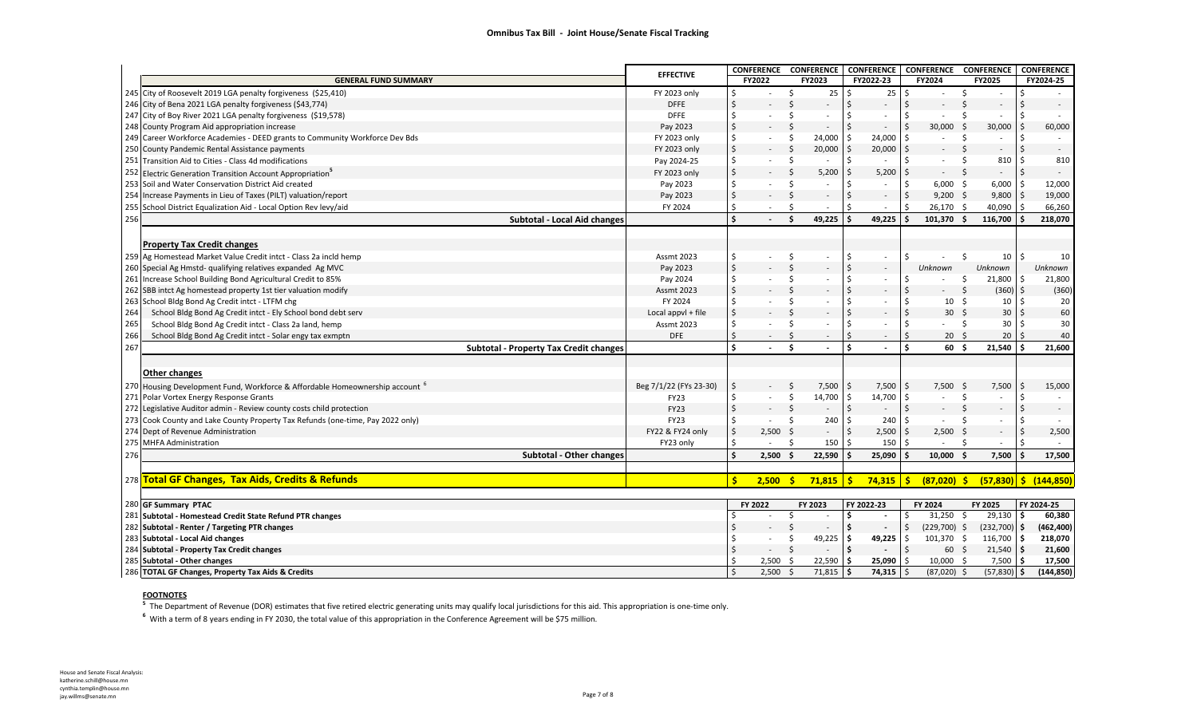|     |                                                                                         | <b>EFFECTIVE</b>       |                                |            | CONFERENCE CONFERENCE          |                     | <b>CONFERENCE</b>        | <b>CONFERENCE CONFERENCE</b> |                          |                           | <b>CONFERENCE</b>         |
|-----|-----------------------------------------------------------------------------------------|------------------------|--------------------------------|------------|--------------------------------|---------------------|--------------------------|------------------------------|--------------------------|---------------------------|---------------------------|
|     | <b>GENERAL FUND SUMMARY</b>                                                             |                        |                                | FY2022     | FY2023                         |                     | FY2022-23                | FY2024                       | <b>FY2025</b>            |                           | FY2024-25                 |
|     | 245 City of Roosevelt 2019 LGA penalty forgiveness (\$25,410)                           | FY 2023 only           | Ś.                             |            | 25<br>\$                       | \$                  | 25                       | ۱\$                          | \$                       | \$                        |                           |
|     | 246 City of Bena 2021 LGA penalty forgiveness (\$43,774)                                | <b>DFFE</b>            | $\zeta$                        |            | Ś.                             | $\zeta$             |                          |                              | $\zeta$                  | \$                        |                           |
|     | 247 City of Boy River 2021 LGA penalty forgiveness (\$19,578)                           | <b>DFFE</b>            | \$                             |            | Ś                              | Ŝ.                  |                          | Ŝ.                           | Ś.                       | Ŝ.                        |                           |
|     | 248 County Program Aid appropriation increase                                           | Pay 2023               | \$                             |            | <sup>\$</sup><br>$\sim$        | $\zeta$             |                          | l \$<br>30,000               | 30,000<br>- Ś            | -Ś                        | 60,000                    |
|     | 249 Career Workforce Academies - DEED grants to Community Workforce Dev Bds             | FY 2023 only           | Ś.                             |            | Ŝ.<br>24,000                   | Ŝ                   | 24,000                   |                              | Ŝ.                       | \$                        |                           |
|     | 250 County Pandemic Rental Assistance payments                                          | FY 2023 only           | \$                             |            | Ś<br>20,000                    |                     | 20,000                   |                              |                          | \$                        | $\overline{\phantom{a}}$  |
|     | 251 Transition Aid to Cities - Class 4d modifications                                   | Pay 2024-25            | \$                             |            | Ŝ.<br>$\sim$                   | Ŝ.                  |                          |                              | 810<br>Ś.                | \$                        | 810                       |
| 252 | Electric Generation Transition Account Appropriation <sup>5</sup>                       | FY 2023 only           | $\zeta$                        |            | Ś.<br>5,200                    | Ś                   | 5,200                    | $\sim$                       | $\sim$                   | $\mathsf{\dot{S}}$        |                           |
|     | 253 Soil and Water Conservation District Aid created                                    | Pay 2023               | Ś                              |            | Ś<br>$\sim$                    | Ś                   |                          | $6,000$ \$<br>-Ś             | 6,000                    | <b>S</b>                  | 12,000                    |
| 254 | Increase Payments in Lieu of Taxes (PILT) valuation/report                              | Pay 2023               | \$                             |            | Ŝ.<br>$\sim$                   | $\ddot{\mathsf{S}}$ |                          | 5<br>$9,200$ \$              | $9,800$ \$               |                           | 19,000                    |
| 255 | School District Equalization Aid - Local Option Rev levy/aid                            | FY 2024                | Ś.                             |            | Ŝ.                             | Ś                   |                          | 26,170 \$                    | 40,090                   | -Ś                        | 66,260                    |
| 256 | Subtotal - Local Aid changes                                                            |                        | \$                             |            | 49,225<br>Š.                   | ¢,                  | 49,225                   | 101,370                      | 116,700                  | -S                        | 218,070                   |
|     |                                                                                         |                        |                                |            |                                |                     |                          |                              |                          |                           |                           |
|     | <b>Property Tax Credit changes</b>                                                      |                        |                                |            |                                |                     |                          |                              |                          |                           |                           |
|     | 259 Ag Homestead Market Value Credit intct - Class 2a incld hemp                        | <b>Assmt 2023</b>      | \$                             |            | \$                             | Ŝ.                  | $\overline{\phantom{a}}$ | .S                           | - Ś                      | $10 \mid \zeta$           | 10                        |
|     | 260 Special Ag Hmstd- qualifying relatives expanded Ag MVC                              | Pay 2023               | $\boldsymbol{\dot{\varsigma}}$ |            | Ś                              | \$                  | $\overline{\phantom{a}}$ | Unknown                      | Unknown                  |                           | Unknown                   |
| 261 | Increase School Building Bond Agricultural Credit to 85%                                | Pay 2024               | \$                             |            | \$<br>$\overline{\phantom{a}}$ | Ŝ.                  |                          |                              | 21,800<br>\$             | \$.                       | 21,800                    |
|     | 262 SBB intct Ag homestead property 1st tier valuation modify                           | <b>Assmt 2023</b>      | \$                             |            | $\mathsf{S}$                   | \$                  |                          |                              | \$                       | $(360)$ \$                | (360)                     |
|     | 263 School Bldg Bond Ag Credit intct - LTFM chg                                         | FY 2024                | Ś                              |            | Ś                              | Ŝ.                  |                          | 10 <sup>5</sup>              | 10                       | \$                        | 20                        |
| 264 | School Bldg Bond Ag Credit intct - Ely School bond debt serv                            | Local appvl + file     | \$                             |            | Ś                              | \$                  |                          | 30 <sup>5</sup>              | 30                       | $\mathsf{S}$              | 60                        |
| 265 | School Bldg Bond Ag Credit intct - Class 2a land, hemp                                  | <b>Assmt 2023</b>      | \$                             |            | Ŝ                              | Ś                   |                          |                              | 30<br>-Ś                 | S.                        | 30                        |
| 266 | School Bldg Bond Ag Credit intct - Solar engy tax exmptn                                | <b>DFE</b>             | \$                             | $\sim$     | Ŝ.<br>$\sim$                   |                     | $\overline{\phantom{a}}$ | $20 \quad 5$                 |                          | $20 \mid 5$               | 40                        |
| 267 | <b>Subtotal - Property Tax Credit changes</b>                                           |                        | \$                             |            | Š.                             | \$                  |                          | ¢<br>60 \$                   | $21,540$ \$              |                           | 21,600                    |
|     |                                                                                         |                        |                                |            |                                |                     |                          |                              |                          |                           |                           |
|     | Other changes                                                                           |                        |                                |            |                                |                     |                          |                              |                          |                           |                           |
|     |                                                                                         |                        | \$                             |            | -Ś                             |                     |                          | l s<br>$7,500$ \$            |                          | Ŝ.                        |                           |
|     | 270 Housing Development Fund, Workforce & Affordable Homeownership account <sup>6</sup> | Beg 7/1/22 (FYs 23-30) | \$                             |            | 7,500                          | -\$                 | 7,500                    |                              | 7,500<br>Ŝ.              |                           | 15,000                    |
| 271 | Polar Vortex Energy Response Grants                                                     | <b>FY23</b>            |                                |            | \$<br>14,700                   | Ŝ.                  | 14,700                   | l \$<br>$\sim$               |                          | \$                        |                           |
| 272 | Legislative Auditor admin - Review county costs child protection                        | <b>FY23</b>            | \$                             |            | \$<br>$\overline{\phantom{a}}$ | $\zeta$             | $\overline{\phantom{a}}$ | 5                            | Ś.                       | Ś.                        | $\overline{\phantom{a}}$  |
|     | 273 Cook County and Lake County Property Tax Refunds (one-time, Pay 2022 only)          | <b>FY23</b>            |                                |            | 240<br>Ś.                      | Ŝ.                  | 240                      | l \$                         |                          | \$                        |                           |
| 274 | Dept of Revenue Administration                                                          | FY22 & FY24 only       | \$                             | $2,500$ \$ | $\overline{\phantom{a}}$       | $\ddot{\varsigma}$  | 2,500                    | $2,500$ \$                   | $\overline{\phantom{a}}$ | $\ddot{\mathsf{S}}$<br>Š. | 2,500                     |
| 275 | <b>MHFA Administration</b>                                                              | FY23 only              | Ś                              |            | Ŝ.<br>150                      |                     | 150                      |                              |                          |                           |                           |
| 276 | Subtotal - Other changes                                                                |                        | Ś                              | $2,500$ \$ | 22,590                         | ۱Ś.                 | 25,090                   | $10,000$ \$<br>١s            | 7,500                    | Ŝ.                        | 17,500                    |
|     |                                                                                         |                        |                                |            |                                |                     |                          |                              |                          |                           |                           |
|     | 278 Total GF Changes, Tax Aids, Credits & Refunds                                       |                        | Ś.                             | 2,500      | $71,815$ \$<br>-Ś              |                     | $74,315$ \$              | $(87,020)$ \$                |                          |                           | $(57,830)$ \$ $(144,850)$ |
|     | 280 GF Summary PTAC                                                                     |                        |                                | FY 2022    | FY 2023                        |                     | FY 2022-23               | FY 2024                      | FY 2025                  |                           | FY 2024-25                |
|     | 281 Subtotal - Homestead Credit State Refund PTR changes                                |                        |                                |            | Ŝ.<br>$\sim$                   | Ŝ.                  |                          | $31,250$ \$<br>S.            | $29,130$ \$              |                           | 60,380                    |
|     | 282 Subtotal - Renter / Targeting PTR changes                                           |                        |                                |            | Ś.                             | Ŝ.                  |                          | $(229,700)$ \$               | $(232,700)$ \$           |                           | (462, 400)                |
|     | 283 Subtotal - Local Aid changes                                                        |                        |                                | $\sim$     | 49,225<br>\$                   | - Ś                 | 49,225                   | 101,370 \$<br>۱\$            | 116,700 \$               |                           | 218,070                   |
|     | 284 Subtotal - Property Tax Credit changes                                              |                        |                                | $\sim$     | \$<br>$\overline{\phantom{a}}$ | \$                  |                          | l \$<br>60 \$                | $21,540$ \$              |                           | 21,600                    |
|     | 285 Subtotal - Other changes                                                            |                        | Ś                              | 2,500      | 22,590<br>-\$                  | \$.                 | 25,090                   | 10,000 \$<br>l \$            | $7,500$ \$               |                           | 17,500                    |
|     |                                                                                         |                        |                                | 2,500      | Ś.<br>71,815                   | -\$                 | 74,315                   | $(87,020)$ \$                | $(57,830)$ \$            |                           | (144, 850)                |
|     | 286 TOTAL GF Changes, Property Tax Aids & Credits                                       |                        | Ś                              |            |                                |                     |                          |                              |                          |                           |                           |

#### **FOOTNOTES**

The Department of Revenue (DOR) estimates that five retired electric generating units may qualify local jurisdictions for this aid. This appropriation is one-time only.

With a term of 8 years ending in FY 2030, the total value of this appropriation in the Conference Agreement will be \$75 million.